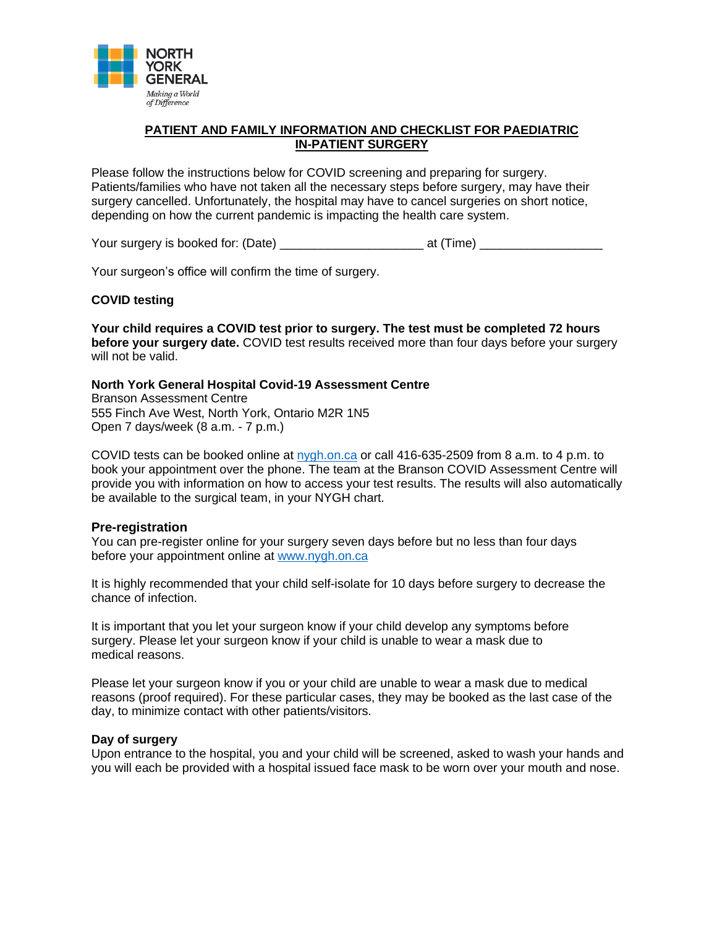

# **PATIENT AND FAMILY INFORMATION AND CHECKLIST FOR PAEDIATRIC IN-PATIENT SURGERY**

Please follow the instructions below for COVID screening and preparing for surgery. Patients/families who have not taken all the necessary steps before surgery, may have their surgery cancelled. Unfortunately, the hospital may have to cancel surgeries on short notice, depending on how the current pandemic is impacting the health care system.

Your surgery is booked for: (Date) example at (Time) at (Time) at  $(3.5 \times 10^{-4})$ 

Your surgeon's office will confirm the time of surgery.

### **COVID testing**

**Your child requires a COVID test prior to surgery. The test must be completed 72 hours before your surgery date.** COVID test results received more than four days before your surgery will not be valid.

### **North York General Hospital Covid-19 Assessment Centre**

Branson Assessment Centre 555 Finch Ave West, North York, Ontario M2R 1N5 Open 7 days/week (8 a.m. - 7 p.m.)

COVID tests can be booked online at  $nygh.$  on call 416-635-2509 from 8 a.m. to 4 p.m. to book your appointment over the phone. The team at the Branson COVID Assessment Centre will provide you with information on how to access your test results. The results will also automatically be available to the surgical team, in your NYGH chart.

### **Pre-registration**

You can pre-register online for your surgery seven days before but no less than four days before your appointment online at [www.nygh.on.ca](https://connect.nygh.on.ca/pi/forms/SitePages/terms.aspx)

It is highly recommended that your child self-isolate for 10 days before surgery to decrease the chance of infection.

It is important that you let your surgeon know if your child develop any symptoms before surgery. Please let your surgeon know if your child is unable to wear a mask due to medical reasons.

Please let your surgeon know if you or your child are unable to wear a mask due to medical reasons (proof required). For these particular cases, they may be booked as the last case of the day, to minimize contact with other patients/visitors.

### **Day of surgery**

Upon entrance to the hospital, you and your child will be screened, asked to wash your hands and you will each be provided with a hospital issued face mask to be worn over your mouth and nose.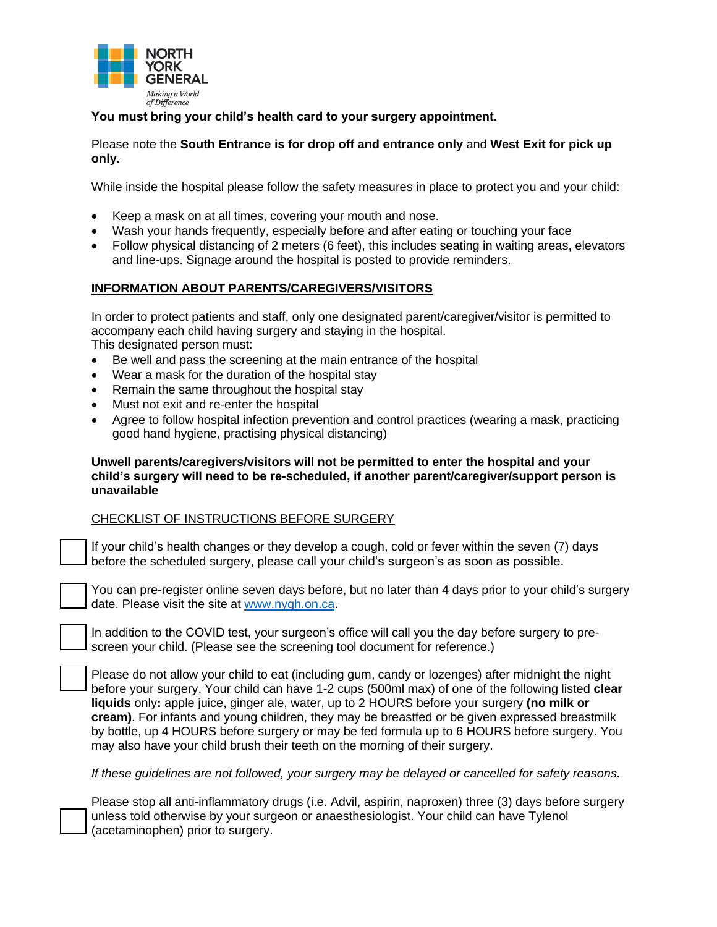

# **You must bring your child's health card to your surgery appointment.**

# Please note the **South Entrance is for drop off and entrance only** and **West Exit for pick up only.**

While inside the hospital please follow the safety measures in place to protect you and your child:

- Keep a mask on at all times, covering your mouth and nose.
- Wash your hands frequently, especially before and after eating or touching your face
- Follow physical distancing of 2 meters (6 feet), this includes seating in waiting areas, elevators and line-ups. Signage around the hospital is posted to provide reminders.

# **INFORMATION ABOUT PARENTS/CAREGIVERS/VISITORS**

In order to protect patients and staff, only one designated parent/caregiver/visitor is permitted to accompany each child having surgery and staying in the hospital. This designated person must:

- Be well and pass the screening at the main entrance of the hospital
- Wear a mask for the duration of the hospital stay
- Remain the same throughout the hospital stay
- Must not exit and re-enter the hospital
- Agree to follow hospital infection prevention and control practices (wearing a mask, practicing good hand hygiene, practising physical distancing)

### **Unwell parents/caregivers/visitors will not be permitted to enter the hospital and your child's surgery will need to be re-scheduled, if another parent/caregiver/support person is unavailable**

# CHECKLIST OF INSTRUCTIONS BEFORE SURGERY

If your child's health changes or they develop a cough, cold or fever within the seven (7) days before the scheduled surgery, please call your child's surgeon's as soon as possible.

You can pre-register online seven days before, but no later than 4 days prior to your child's surgery date. Please visit the site at [www.nygh.on.ca.](http://www.nygh.on.ca/)

In addition to the COVID test, your surgeon's office will call you the day before surgery to prescreen your child. (Please see the screening tool document for reference.)

Please do not allow your child to eat (including gum, candy or lozenges) after midnight the night before your surgery. Your child can have 1-2 cups (500ml max) of one of the following listed **clear liquids** only**:** apple juice, ginger ale, water, up to 2 HOURS before your surgery **(no milk or cream)**. For infants and young children, they may be breastfed or be given expressed breastmilk by bottle, up 4 HOURS before surgery or may be fed formula up to 6 HOURS before surgery. You may also have your child brush their teeth on the morning of their surgery.

*If these guidelines are not followed, your surgery may be delayed or cancelled for safety reasons.* 

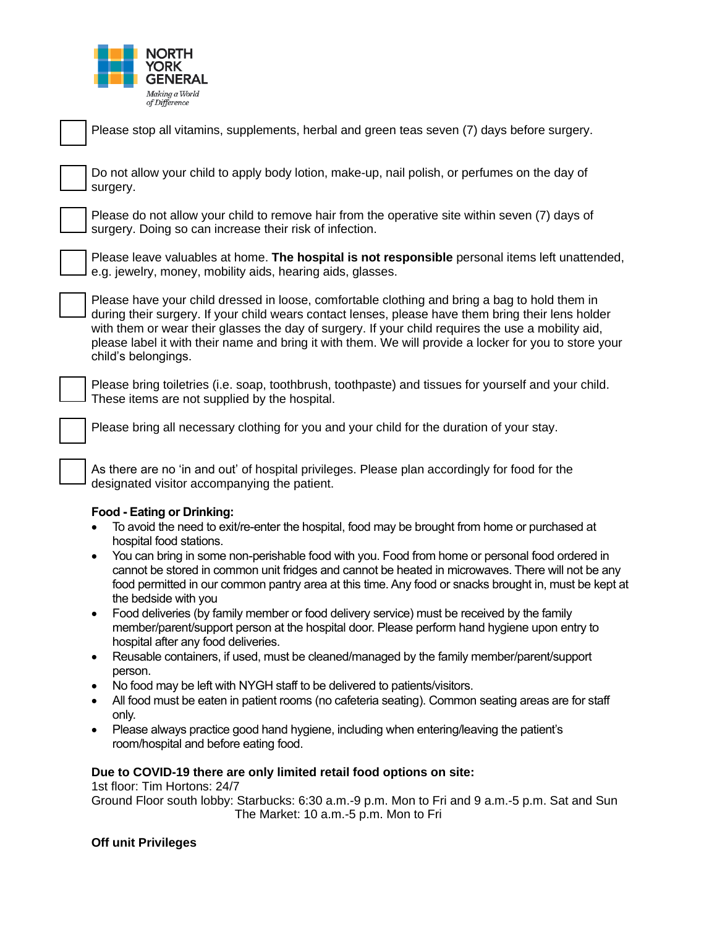

| Please stop all vitamins, supplements, herbal and green teas seven (7) days before surgery.                                                                                                                                                                                                                                                                                                                                                |
|--------------------------------------------------------------------------------------------------------------------------------------------------------------------------------------------------------------------------------------------------------------------------------------------------------------------------------------------------------------------------------------------------------------------------------------------|
| Do not allow your child to apply body lotion, make-up, nail polish, or perfumes on the day of<br>surgery.                                                                                                                                                                                                                                                                                                                                  |
| Please do not allow your child to remove hair from the operative site within seven (7) days of<br>surgery. Doing so can increase their risk of infection.                                                                                                                                                                                                                                                                                  |
| Please leave valuables at home. The hospital is not responsible personal items left unattended,<br>e.g. jewelry, money, mobility aids, hearing aids, glasses.                                                                                                                                                                                                                                                                              |
| Please have your child dressed in loose, comfortable clothing and bring a bag to hold them in<br>during their surgery. If your child wears contact lenses, please have them bring their lens holder<br>with them or wear their glasses the day of surgery. If your child requires the use a mobility aid,<br>please label it with their name and bring it with them. We will provide a locker for you to store your<br>child's belongings. |
| Please bring toiletries (i.e. soap, toothbrush, toothpaste) and tissues for yourself and your child.<br>These items are not supplied by the hospital.                                                                                                                                                                                                                                                                                      |
| Please bring all necessary clothing for you and your child for the duration of your stay.                                                                                                                                                                                                                                                                                                                                                  |
| As there are no 'in and out' of hospital privileges. Please plan accordingly for food for the<br>designated visitor accompanying the patient.                                                                                                                                                                                                                                                                                              |
| <b>Food - Eating or Drinking:</b>                                                                                                                                                                                                                                                                                                                                                                                                          |
| To avoid the need to exit/re-enter the hospital, food may be brought from home or purchased at<br>hospital food stations.                                                                                                                                                                                                                                                                                                                  |
| You can bring in some non-perishable food with you. Food from home or personal food ordered in<br>$\bullet$<br>cannot be stored in common unit fridges and cannot be heated in microwaves. There will not be any<br>food permitted in our common pantry area at this time. Any food or snacks brought in, must be kept at<br>the bedside with you                                                                                          |
| Food deliveries (by family member or food delivery service) must be received by the family<br>$\bullet$<br>member/parent/support person at the hospital door. Please perform hand hygiene upon entry to<br>hospital after any food deliveries.                                                                                                                                                                                             |
| Reusable containers, if used, must be cleaned/managed by the family member/parent/support<br>$\bullet$<br>person.                                                                                                                                                                                                                                                                                                                          |
| No food may be left with NYGH staff to be delivered to patients/visitors.<br>$\bullet$                                                                                                                                                                                                                                                                                                                                                     |
| All food must be eaten in patient rooms (no cafeteria seating). Common seating areas are for staff<br>only.                                                                                                                                                                                                                                                                                                                                |
| Please always practice good hand hygiene, including when entering/leaving the patient's<br>$\bullet$<br>room/hospital and before eating food.                                                                                                                                                                                                                                                                                              |

# **Due to COVID-19 there are only limited retail food options on site:**

1st floor: Tim Hortons: 24/7

Ground Floor south lobby: Starbucks: 6:30 a.m.-9 p.m. Mon to Fri and 9 a.m.-5 p.m. Sat and Sun The Market: 10 a.m.-5 p.m. Mon to Fri

# **Off unit Privileges**